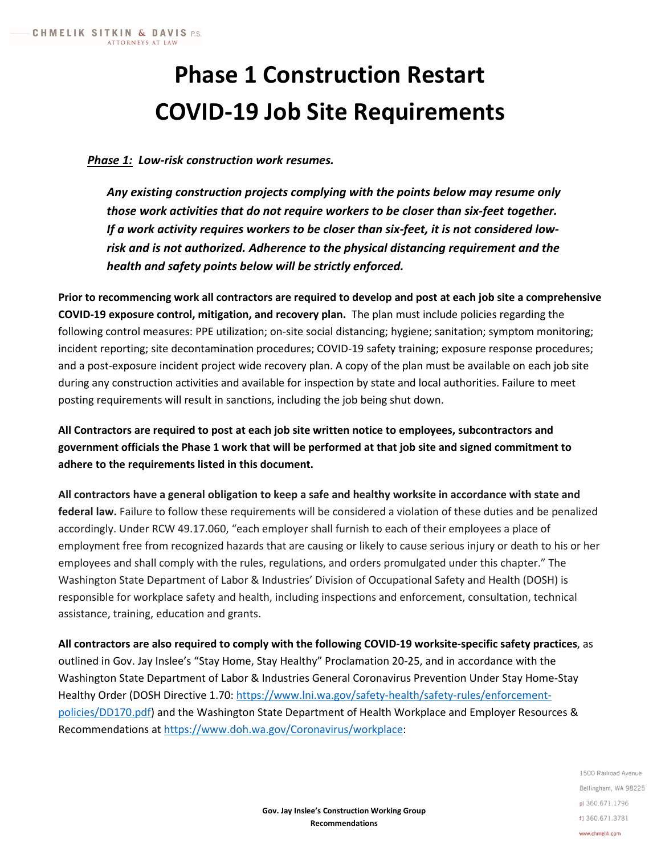# **Phase 1 Construction Restart COVID-19 Job Site Requirements**

### *Phase 1: Low-risk construction work resumes.*

*Any existing construction projects complying with the points below may resume only those work activities that do not require workers to be closer than six-feet together. If a work activity requires workers to be closer than six-feet, it is not considered lowrisk and is not authorized. Adherence to the physical distancing requirement and the health and safety points below will be strictly enforced.* 

**Prior to recommencing work all contractors are required to develop and post at each job site a comprehensive COVID-19 exposure control, mitigation, and recovery plan.** The plan must include policies regarding the following control measures: PPE utilization; on-site social distancing; hygiene; sanitation; symptom monitoring; incident reporting; site decontamination procedures; COVID-19 safety training; exposure response procedures; and a post-exposure incident project wide recovery plan. A copy of the plan must be available on each job site during any construction activities and available for inspection by state and local authorities. Failure to meet posting requirements will result in sanctions, including the job being shut down.

**All Contractors are required to post at each job site written notice to employees, subcontractors and government officials the Phase 1 work that will be performed at that job site and signed commitment to adhere to the requirements listed in this document.** 

**All contractors have a general obligation to keep a safe and healthy worksite in accordance with state and federal law.** Failure to follow these requirements will be considered a violation of these duties and be penalized accordingly. Under RCW 49.17.060, "each employer shall furnish to each of their employees a place of employment free from recognized hazards that are causing or likely to cause serious injury or death to his or her employees and shall comply with the rules, regulations, and orders promulgated under this chapter." The Washington State Department of Labor & Industries' Division of Occupational Safety and Health (DOSH) is responsible for workplace safety and health, including inspections and enforcement, consultation, technical assistance, training, education and grants.

**All contractors are also required to comply with the following COVID-19 worksite-specific safety practices**, as outlined in Gov. Jay Inslee's "Stay Home, Stay Healthy" Proclamation 20-25, and in accordance with the Washington State Department of Labor & Industries General Coronavirus Prevention Under Stay Home-Stay Healthy Order (DOSH Directive 1.70: [https://www.lni.wa.gov/safety-health/safety-rules/enforcement](https://www.lni.wa.gov/safety-health/safety-rules/enforcement-policies/DD170.pdf)[policies/DD170.pdf\)](https://www.lni.wa.gov/safety-health/safety-rules/enforcement-policies/DD170.pdf) and the Washington State Department of Health Workplace and Employer Resources & Recommendations at [https://www.doh.wa.gov/Coronavirus/workplace:](https://www.doh.wa.gov/Coronavirus/workplace)

> 1500 Railroad Avenue Bellingham, WA 98225 pl 360.671.1796 f) 360.671.3781 www.chmelik.com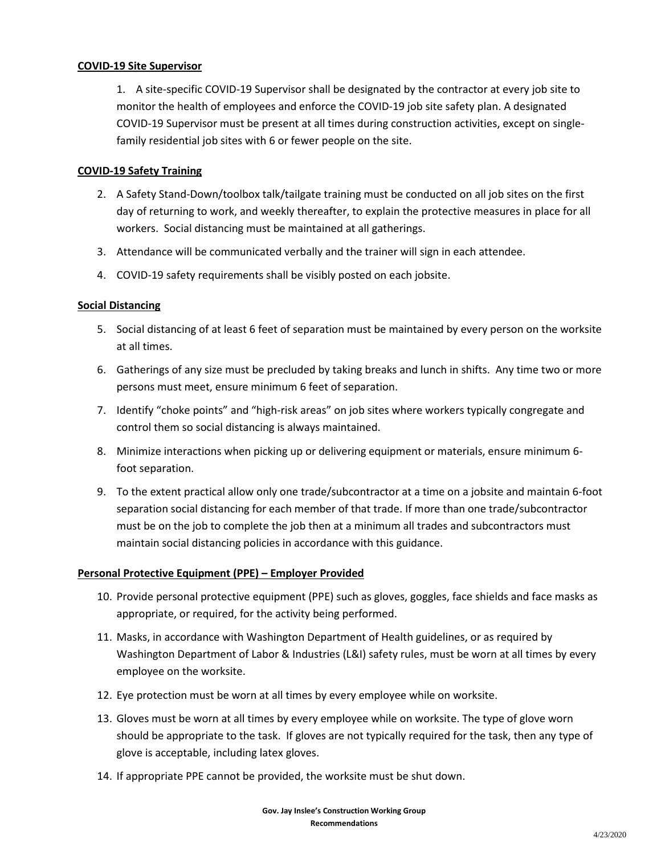#### **COVID-19 Site Supervisor**

1. A site-specific COVID-19 Supervisor shall be designated by the contractor at every job site to monitor the health of employees and enforce the COVID-19 job site safety plan. A designated COVID-19 Supervisor must be present at all times during construction activities, except on singlefamily residential job sites with 6 or fewer people on the site.

#### **COVID-19 Safety Training**

- 2. A Safety Stand-Down/toolbox talk/tailgate training must be conducted on all job sites on the first day of returning to work, and weekly thereafter, to explain the protective measures in place for all workers. Social distancing must be maintained at all gatherings.
- 3. Attendance will be communicated verbally and the trainer will sign in each attendee.
- 4. COVID-19 safety requirements shall be visibly posted on each jobsite.

#### **Social Distancing**

- 5. Social distancing of at least 6 feet of separation must be maintained by every person on the worksite at all times.
- 6. Gatherings of any size must be precluded by taking breaks and lunch in shifts. Any time two or more persons must meet, ensure minimum 6 feet of separation.
- 7. Identify "choke points" and "high-risk areas" on job sites where workers typically congregate and control them so social distancing is always maintained.
- 8. Minimize interactions when picking up or delivering equipment or materials, ensure minimum 6 foot separation.
- 9. To the extent practical allow only one trade/subcontractor at a time on a jobsite and maintain 6-foot separation social distancing for each member of that trade. If more than one trade/subcontractor must be on the job to complete the job then at a minimum all trades and subcontractors must maintain social distancing policies in accordance with this guidance.

#### **Personal Protective Equipment (PPE) – Employer Provided**

- 10. Provide personal protective equipment (PPE) such as gloves, goggles, face shields and face masks as appropriate, or required, for the activity being performed.
- 11. Masks, in accordance with Washington Department of Health guidelines, or as required by Washington Department of Labor & Industries (L&I) safety rules, must be worn at all times by every employee on the worksite.
- 12. Eye protection must be worn at all times by every employee while on worksite.
- 13. Gloves must be worn at all times by every employee while on worksite. The type of glove worn should be appropriate to the task. If gloves are not typically required for the task, then any type of glove is acceptable, including latex gloves.
- 14. If appropriate PPE cannot be provided, the worksite must be shut down.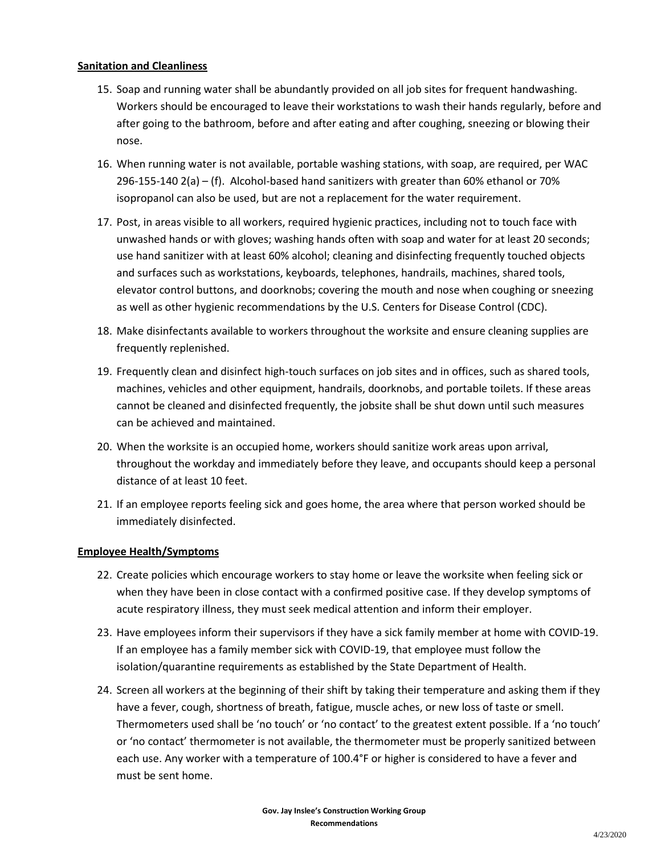#### **Sanitation and Cleanliness**

- 15. Soap and running water shall be abundantly provided on all job sites for frequent handwashing. Workers should be encouraged to leave their workstations to wash their hands regularly, before and after going to the bathroom, before and after eating and after coughing, sneezing or blowing their nose.
- 16. When running water is not available, portable washing stations, with soap, are required, per WAC 296-155-140 2(a) – (f). Alcohol-based hand sanitizers with greater than 60% ethanol or 70% isopropanol can also be used, but are not a replacement for the water requirement.
- 17. Post, in areas visible to all workers, required hygienic practices, including not to touch face with unwashed hands or with gloves; washing hands often with soap and water for at least 20 seconds; use hand sanitizer with at least 60% alcohol; cleaning and disinfecting frequently touched objects and surfaces such as workstations, keyboards, telephones, handrails, machines, shared tools, elevator control buttons, and doorknobs; covering the mouth and nose when coughing or sneezing as well as other hygienic recommendations by the U.S. Centers for Disease Control (CDC).
- 18. Make disinfectants available to workers throughout the worksite and ensure cleaning supplies are frequently replenished.
- 19. Frequently clean and disinfect high-touch surfaces on job sites and in offices, such as shared tools, machines, vehicles and other equipment, handrails, doorknobs, and portable toilets. If these areas cannot be cleaned and disinfected frequently, the jobsite shall be shut down until such measures can be achieved and maintained.
- 20. When the worksite is an occupied home, workers should sanitize work areas upon arrival, throughout the workday and immediately before they leave, and occupants should keep a personal distance of at least 10 feet.
- 21. If an employee reports feeling sick and goes home, the area where that person worked should be immediately disinfected.

#### **Employee Health/Symptoms**

- 22. Create policies which encourage workers to stay home or leave the worksite when feeling sick or when they have been in close contact with a confirmed positive case. If they develop symptoms of acute respiratory illness, they must seek medical attention and inform their employer.
- 23. Have employees inform their supervisors if they have a sick family member at home with COVID-19. If an employee has a family member sick with COVID-19, that employee must follow the isolation/quarantine requirements as established by the State Department of Health.
- 24. Screen all workers at the beginning of their shift by taking their temperature and asking them if they have a fever, cough, shortness of breath, fatigue, muscle aches, or new loss of taste or smell. Thermometers used shall be 'no touch' or 'no contact' to the greatest extent possible. If a 'no touch' or 'no contact' thermometer is not available, the thermometer must be properly sanitized between each use. Any worker with a temperature of 100.4°F or higher is considered to have a fever and must be sent home.